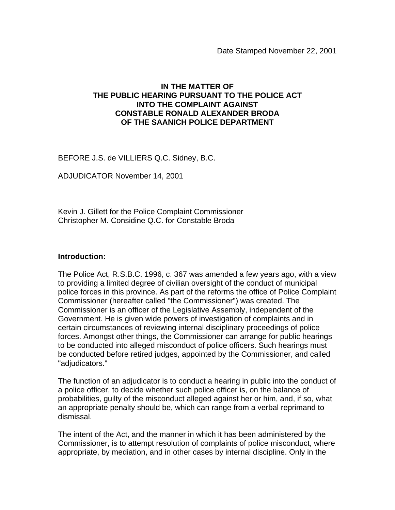## **IN THE MATTER OF THE PUBLIC HEARING PURSUANT TO THE POLICE ACT INTO THE COMPLAINT AGAINST CONSTABLE RONALD ALEXANDER BRODA OF THE SAANICH POLICE DEPARTMENT**

BEFORE J.S. de VILLIERS Q.C. Sidney, B.C.

ADJUDICATOR November 14, 2001

Kevin J. Gillett for the Police Complaint Commissioner Christopher M. Considine Q.C. for Constable Broda

#### **Introduction:**

The Police Act, R.S.B.C. 1996, c. 367 was amended a few years ago, with a view to providing a limited degree of civilian oversight of the conduct of municipal police forces in this province. As part of the reforms the office of Police Complaint Commissioner (hereafter called "the Commissioner") was created. The Commissioner is an officer of the Legislative Assembly, independent of the Government. He is given wide powers of investigation of complaints and in certain circumstances of reviewing internal disciplinary proceedings of police forces. Amongst other things, the Commissioner can arrange for public hearings to be conducted into alleged misconduct of police officers. Such hearings must be conducted before retired judges, appointed by the Commissioner, and called "adjudicators."

The function of an adjudicator is to conduct a hearing in public into the conduct of a police officer, to decide whether such police officer is, on the balance of probabilities, guilty of the misconduct alleged against her or him, and, if so, what an appropriate penalty should be, which can range from a verbal reprimand to dismissal.

The intent of the Act, and the manner in which it has been administered by the Commissioner, is to attempt resolution of complaints of police misconduct, where appropriate, by mediation, and in other cases by internal discipline. Only in the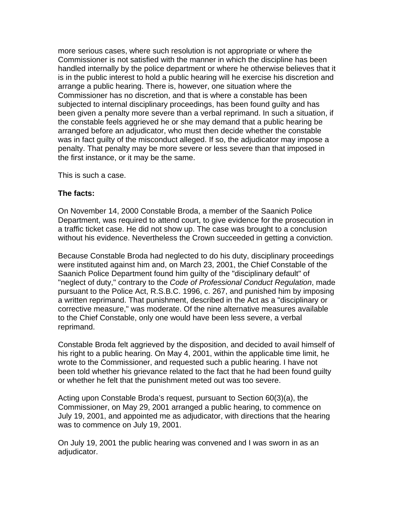more serious cases, where such resolution is not appropriate or where the Commissioner is not satisfied with the manner in which the discipline has been handled internally by the police department or where he otherwise believes that it is in the public interest to hold a public hearing will he exercise his discretion and arrange a public hearing. There is, however, one situation where the Commissioner has no discretion, and that is where a constable has been subjected to internal disciplinary proceedings, has been found guilty and has been given a penalty more severe than a verbal reprimand. In such a situation, if the constable feels aggrieved he or she may demand that a public hearing be arranged before an adjudicator, who must then decide whether the constable was in fact guilty of the misconduct alleged. If so, the adjudicator may impose a penalty. That penalty may be more severe or less severe than that imposed in the first instance, or it may be the same.

This is such a case.

### **The facts:**

On November 14, 2000 Constable Broda, a member of the Saanich Police Department, was required to attend court, to give evidence for the prosecution in a traffic ticket case. He did not show up. The case was brought to a conclusion without his evidence. Nevertheless the Crown succeeded in getting a conviction.

Because Constable Broda had neglected to do his duty, disciplinary proceedings were instituted against him and, on March 23, 2001, the Chief Constable of the Saanich Police Department found him guilty of the "disciplinary default" of "neglect of duty," contrary to the *Code of Professional Conduct Regulation*, made pursuant to the Police Act, R.S.B.C. 1996, c. 267, and punished him by imposing a written reprimand. That punishment, described in the Act as a "disciplinary or corrective measure," was moderate. Of the nine alternative measures available to the Chief Constable, only one would have been less severe, a verbal reprimand.

Constable Broda felt aggrieved by the disposition, and decided to avail himself of his right to a public hearing. On May 4, 2001, within the applicable time limit, he wrote to the Commissioner, and requested such a public hearing. I have not been told whether his grievance related to the fact that he had been found guilty or whether he felt that the punishment meted out was too severe.

Acting upon Constable Broda's request, pursuant to Section 60(3)(a), the Commissioner, on May 29, 2001 arranged a public hearing, to commence on July 19, 2001, and appointed me as adjudicator, with directions that the hearing was to commence on July 19, 2001.

On July 19, 2001 the public hearing was convened and I was sworn in as an adjudicator.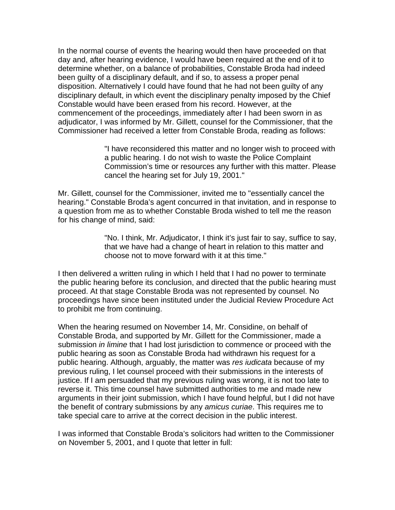In the normal course of events the hearing would then have proceeded on that day and, after hearing evidence, I would have been required at the end of it to determine whether, on a balance of probabilities, Constable Broda had indeed been guilty of a disciplinary default, and if so, to assess a proper penal disposition. Alternatively I could have found that he had not been guilty of any disciplinary default, in which event the disciplinary penalty imposed by the Chief Constable would have been erased from his record. However, at the commencement of the proceedings, immediately after I had been sworn in as adjudicator, I was informed by Mr. Gillett, counsel for the Commissioner, that the Commissioner had received a letter from Constable Broda, reading as follows:

> "I have reconsidered this matter and no longer wish to proceed with a public hearing. I do not wish to waste the Police Complaint Commission's time or resources any further with this matter. Please cancel the hearing set for July 19, 2001."

Mr. Gillett, counsel for the Commissioner, invited me to "essentially cancel the hearing." Constable Broda's agent concurred in that invitation, and in response to a question from me as to whether Constable Broda wished to tell me the reason for his change of mind, said:

> "No. I think, Mr. Adjudicator, I think it's just fair to say, suffice to say, that we have had a change of heart in relation to this matter and choose not to move forward with it at this time."

I then delivered a written ruling in which I held that I had no power to terminate the public hearing before its conclusion, and directed that the public hearing must proceed. At that stage Constable Broda was not represented by counsel. No proceedings have since been instituted under the Judicial Review Procedure Act to prohibit me from continuing.

When the hearing resumed on November 14, Mr. Considine, on behalf of Constable Broda, and supported by Mr. Gillett for the Commissioner, made a submission *in limine* that I had lost jurisdiction to commence or proceed with the public hearing as soon as Constable Broda had withdrawn his request for a public hearing. Although, arguably, the matter was *res iudicata* because of my previous ruling, I let counsel proceed with their submissions in the interests of justice. If I am persuaded that my previous ruling was wrong, it is not too late to reverse it. This time counsel have submitted authorities to me and made new arguments in their joint submission, which I have found helpful, but I did not have the benefit of contrary submissions by any *amicus curiae*. This requires me to take special care to arrive at the correct decision in the public interest.

I was informed that Constable Broda's solicitors had written to the Commissioner on November 5, 2001, and I quote that letter in full: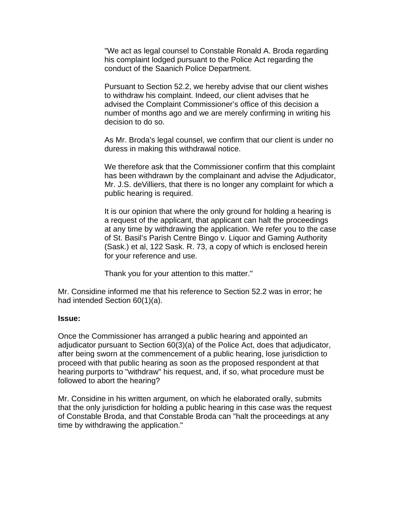"We act as legal counsel to Constable Ronald A. Broda regarding his complaint lodged pursuant to the Police Act regarding the conduct of the Saanich Police Department.

Pursuant to Section 52.2, we hereby advise that our client wishes to withdraw his complaint. Indeed, our client advises that he advised the Complaint Commissioner's office of this decision a number of months ago and we are merely confirming in writing his decision to do so.

As Mr. Broda's legal counsel, we confirm that our client is under no duress in making this withdrawal notice.

We therefore ask that the Commissioner confirm that this complaint has been withdrawn by the complainant and advise the Adjudicator, Mr. J.S. deVilliers, that there is no longer any complaint for which a public hearing is required.

It is our opinion that where the only ground for holding a hearing is a request of the applicant, that applicant can halt the proceedings at any time by withdrawing the application. We refer you to the case of St. Basil's Parish Centre Bingo v. Liquor and Gaming Authority (Sask.) et al, 122 Sask. R. 73, a copy of which is enclosed herein for your reference and use.

Thank you for your attention to this matter."

Mr. Considine informed me that his reference to Section 52.2 was in error; he had intended Section 60(1)(a).

### **Issue:**

Once the Commissioner has arranged a public hearing and appointed an adjudicator pursuant to Section 60(3)(a) of the Police Act, does that adjudicator, after being sworn at the commencement of a public hearing, lose jurisdiction to proceed with that public hearing as soon as the proposed respondent at that hearing purports to "withdraw" his request, and, if so, what procedure must be followed to abort the hearing?

Mr. Considine in his written argument, on which he elaborated orally, submits that the only jurisdiction for holding a public hearing in this case was the request of Constable Broda, and that Constable Broda can "halt the proceedings at any time by withdrawing the application."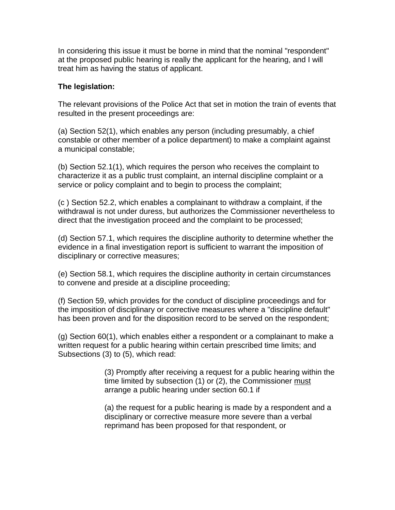In considering this issue it must be borne in mind that the nominal "respondent" at the proposed public hearing is really the applicant for the hearing, and I will treat him as having the status of applicant.

## **The legislation:**

The relevant provisions of the Police Act that set in motion the train of events that resulted in the present proceedings are:

(a) Section 52(1), which enables any person (including presumably, a chief constable or other member of a police department) to make a complaint against a municipal constable;

(b) Section 52.1(1), which requires the person who receives the complaint to characterize it as a public trust complaint, an internal discipline complaint or a service or policy complaint and to begin to process the complaint;

(c ) Section 52.2, which enables a complainant to withdraw a complaint, if the withdrawal is not under duress, but authorizes the Commissioner nevertheless to direct that the investigation proceed and the complaint to be processed;

(d) Section 57.1, which requires the discipline authority to determine whether the evidence in a final investigation report is sufficient to warrant the imposition of disciplinary or corrective measures;

(e) Section 58.1, which requires the discipline authority in certain circumstances to convene and preside at a discipline proceeding;

(f) Section 59, which provides for the conduct of discipline proceedings and for the imposition of disciplinary or corrective measures where a "discipline default" has been proven and for the disposition record to be served on the respondent;

(g) Section 60(1), which enables either a respondent or a complainant to make a written request for a public hearing within certain prescribed time limits; and Subsections (3) to (5), which read:

> (3) Promptly after receiving a request for a public hearing within the time limited by subsection (1) or (2), the Commissioner must arrange a public hearing under section 60.1 if

(a) the request for a public hearing is made by a respondent and a disciplinary or corrective measure more severe than a verbal reprimand has been proposed for that respondent, or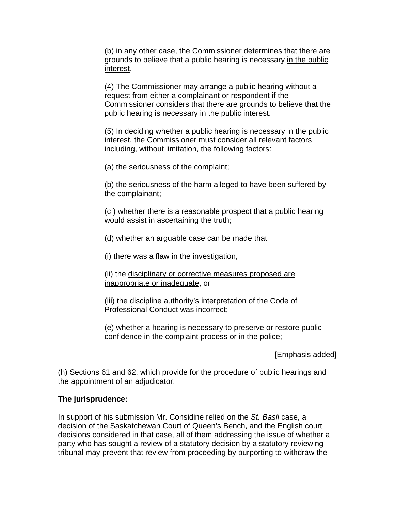(b) in any other case, the Commissioner determines that there are grounds to believe that a public hearing is necessary in the public interest.

(4) The Commissioner may arrange a public hearing without a request from either a complainant or respondent if the Commissioner considers that there are grounds to believe that the public hearing is necessary in the public interest.

(5) In deciding whether a public hearing is necessary in the public interest, the Commissioner must consider all relevant factors including, without limitation, the following factors:

(a) the seriousness of the complaint;

(b) the seriousness of the harm alleged to have been suffered by the complainant;

(c ) whether there is a reasonable prospect that a public hearing would assist in ascertaining the truth;

(d) whether an arguable case can be made that

(i) there was a flaw in the investigation,

(ii) the disciplinary or corrective measures proposed are inappropriate or inadequate, or

(iii) the discipline authority's interpretation of the Code of Professional Conduct was incorrect;

(e) whether a hearing is necessary to preserve or restore public confidence in the complaint process or in the police;

[Emphasis added]

(h) Sections 61 and 62, which provide for the procedure of public hearings and the appointment of an adjudicator.

### **The jurisprudence:**

In support of his submission Mr. Considine relied on the *St. Basil* case, a decision of the Saskatchewan Court of Queen's Bench, and the English court decisions considered in that case, all of them addressing the issue of whether a party who has sought a review of a statutory decision by a statutory reviewing tribunal may prevent that review from proceeding by purporting to withdraw the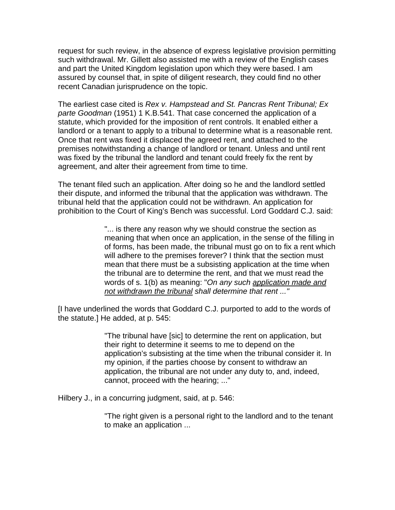request for such review, in the absence of express legislative provision permitting such withdrawal. Mr. Gillett also assisted me with a review of the English cases and part the United Kingdom legislation upon which they were based. I am assured by counsel that, in spite of diligent research, they could find no other recent Canadian jurisprudence on the topic.

The earliest case cited is *Rex v. Hampstead and St. Pancras Rent Tribunal; Ex parte Goodman* (1951) 1 K.B.541. That case concerned the application of a statute, which provided for the imposition of rent controls. It enabled either a landlord or a tenant to apply to a tribunal to determine what is a reasonable rent. Once that rent was fixed it displaced the agreed rent, and attached to the premises notwithstanding a change of landlord or tenant. Unless and until rent was fixed by the tribunal the landlord and tenant could freely fix the rent by agreement, and alter their agreement from time to time.

The tenant filed such an application. After doing so he and the landlord settled their dispute, and informed the tribunal that the application was withdrawn. The tribunal held that the application could not be withdrawn. An application for prohibition to the Court of King's Bench was successful. Lord Goddard C.J. said:

> "... is there any reason why we should construe the section as meaning that when once an application, in the sense of the filling in of forms, has been made, the tribunal must go on to fix a rent which will adhere to the premises forever? I think that the section must mean that there must be a subsisting application at the time when the tribunal are to determine the rent, and that we must read the words of s. 1(b) as meaning: "*On any such application made and not withdrawn the tribunal shall determine that rent ..."*

[I have underlined the words that Goddard C.J. purported to add to the words of the statute.] He added, at p. 545:

> "The tribunal have [sic] to determine the rent on application, but their right to determine it seems to me to depend on the application's subsisting at the time when the tribunal consider it. In my opinion, if the parties choose by consent to withdraw an application, the tribunal are not under any duty to, and, indeed, cannot, proceed with the hearing; ..."

Hilbery J., in a concurring judgment, said, at p. 546:

"The right given is a personal right to the landlord and to the tenant to make an application ...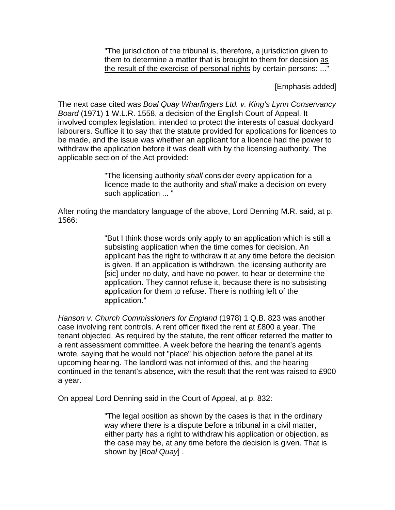"The jurisdiction of the tribunal is, therefore, a jurisdiction given to them to determine a matter that is brought to them for decision as the result of the exercise of personal rights by certain persons: ..."

[Emphasis added]

The next case cited was *Boal Quay Wharfingers Ltd. v. King's Lynn Conservancy Board* (1971) 1 W.L.R. 1558, a decision of the English Court of Appeal. It involved complex legislation, intended to protect the interests of casual dockyard labourers. Suffice it to say that the statute provided for applications for licences to be made, and the issue was whether an applicant for a licence had the power to withdraw the application before it was dealt with by the licensing authority. The applicable section of the Act provided:

> "The licensing authority *shall* consider every application for a licence made to the authority and *shall* make a decision on every such application ... "

After noting the mandatory language of the above, Lord Denning M.R. said, at p. 1566:

> "But I think those words only apply to an application which is still a subsisting application when the time comes for decision. An applicant has the right to withdraw it at any time before the decision is given. If an application is withdrawn, the licensing authority are [sic] under no duty, and have no power, to hear or determine the application. They cannot refuse it, because there is no subsisting application for them to refuse. There is nothing left of the application."

*Hanson v. Church Commissioners for England* (1978) 1 Q.B. 823 was another case involving rent controls. A rent officer fixed the rent at £800 a year. The tenant objected. As required by the statute, the rent officer referred the matter to a rent assessment committee. A week before the hearing the tenant's agents wrote, saying that he would not "place" his objection before the panel at its upcoming hearing. The landlord was not informed of this, and the hearing continued in the tenant's absence, with the result that the rent was raised to £900 a year.

On appeal Lord Denning said in the Court of Appeal, at p. 832:

"The legal position as shown by the cases is that in the ordinary way where there is a dispute before a tribunal in a civil matter, either party has a right to withdraw his application or objection, as the case may be, at any time before the decision is given. That is shown by [*Boal Quay*] .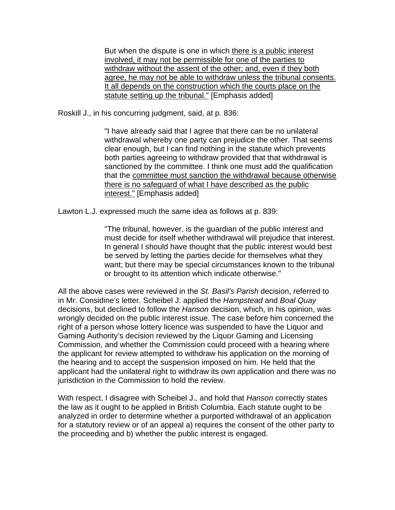But when the dispute is one in which there is a public interest involved, it may not be permissible for one of the parties to withdraw without the assent of the other; and, even if they both agree, he may not be able to withdraw unless the tribunal consents. It all depends on the construction which the courts place on the statute setting up the tribunal." [Emphasis added]

Roskill J., in his concurring judgment, said, at p. 836:

"I have already said that I agree that there can be no unilateral withdrawal whereby one party can prejudice the other. That seems clear enough, but I can find nothing in the statute which prevents both parties agreeing to withdraw provided that that withdrawal is sanctioned by the committee. I think one must add the qualification that the committee must sanction the withdrawal because otherwise there is no safeguard of what I have described as the public interest." [Emphasis added]

Lawton L.J. expressed much the same idea as follows at p. 839:

"The tribunal, however, is the guardian of the public interest and must decide for itself whether withdrawal will prejudice that interest. In general I should have thought that the public interest would best be served by letting the parties decide for themselves what they want; but there may be special circumstances known to the tribunal or brought to its attention which indicate otherwise."

All the above cases were reviewed in the *St. Basil's Parish* decision, referred to in Mr. Considine's letter. Scheibel J. applied the *Hampstead* and *Boal Quay* decisions, but declined to follow the *Hanson* decision, which, in his opinion, was wrongly decided on the public interest issue. The case before him concerned the right of a person whose lottery licence was suspended to have the Liquor and Gaming Authority's decision reviewed by the Liquor Gaming and Licensing Commission, and whether the Commission could proceed with a hearing where the applicant for review attempted to withdraw his application on the morning of the hearing and to accept the suspension imposed on him. He held that the applicant had the unilateral right to withdraw its own application and there was no jurisdiction in the Commission to hold the review.

With respect, I disagree with Scheibel J., and hold that *Hanson* correctly states the law as it ought to be applied in British Columbia. Each statute ought to be analyzed in order to determine whether a purported withdrawal of an application for a statutory review or of an appeal a) requires the consent of the other party to the proceeding and b) whether the public interest is engaged.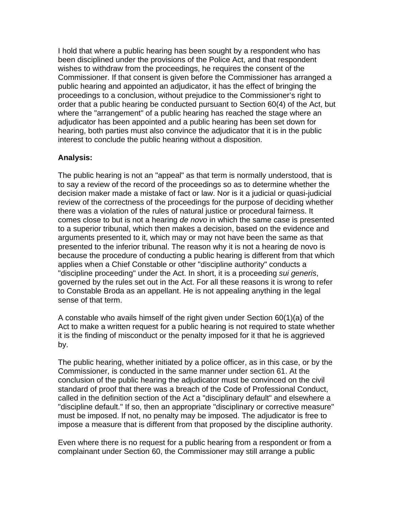I hold that where a public hearing has been sought by a respondent who has been disciplined under the provisions of the Police Act, and that respondent wishes to withdraw from the proceedings, he requires the consent of the Commissioner. If that consent is given before the Commissioner has arranged a public hearing and appointed an adjudicator, it has the effect of bringing the proceedings to a conclusion, without prejudice to the Commissioner's right to order that a public hearing be conducted pursuant to Section 60(4) of the Act, but where the "arrangement" of a public hearing has reached the stage where an adjudicator has been appointed and a public hearing has been set down for hearing, both parties must also convince the adjudicator that it is in the public interest to conclude the public hearing without a disposition.

## **Analysis:**

The public hearing is not an "appeal" as that term is normally understood, that is to say a review of the record of the proceedings so as to determine whether the decision maker made a mistake of fact or law. Nor is it a judicial or quasi-judicial review of the correctness of the proceedings for the purpose of deciding whether there was a violation of the rules of natural justice or procedural fairness. It comes close to but is not a hearing *de novo* in which the same case is presented to a superior tribunal, which then makes a decision, based on the evidence and arguments presented to it, which may or may not have been the same as that presented to the inferior tribunal. The reason why it is not a hearing de novo is because the procedure of conducting a public hearing is different from that which applies when a Chief Constable or other "discipline authority" conducts a "discipline proceeding" under the Act. In short, it is a proceeding *sui generis*, governed by the rules set out in the Act. For all these reasons it is wrong to refer to Constable Broda as an appellant. He is not appealing anything in the legal sense of that term.

A constable who avails himself of the right given under Section 60(1)(a) of the Act to make a written request for a public hearing is not required to state whether it is the finding of misconduct or the penalty imposed for it that he is aggrieved by.

The public hearing, whether initiated by a police officer, as in this case, or by the Commissioner, is conducted in the same manner under section 61. At the conclusion of the public hearing the adjudicator must be convinced on the civil standard of proof that there was a breach of the Code of Professional Conduct, called in the definition section of the Act a "disciplinary default" and elsewhere a "discipline default." If so, then an appropriate "disciplinary or corrective measure" must be imposed. If not, no penalty may be imposed. The adjudicator is free to impose a measure that is different from that proposed by the discipline authority.

Even where there is no request for a public hearing from a respondent or from a complainant under Section 60, the Commissioner may still arrange a public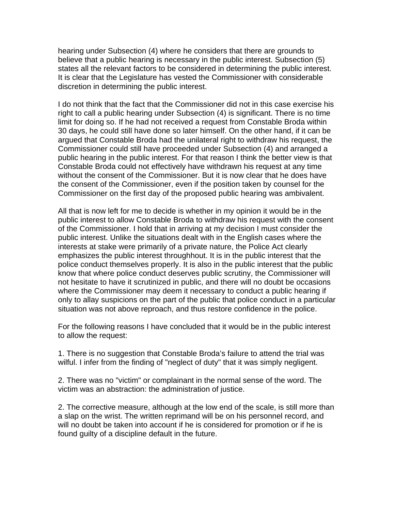hearing under Subsection (4) where he considers that there are grounds to believe that a public hearing is necessary in the public interest. Subsection (5) states all the relevant factors to be considered in determining the public interest. It is clear that the Legislature has vested the Commissioner with considerable discretion in determining the public interest.

I do not think that the fact that the Commissioner did not in this case exercise his right to call a public hearing under Subsection (4) is significant. There is no time limit for doing so. If he had not received a request from Constable Broda within 30 days, he could still have done so later himself. On the other hand, if it can be argued that Constable Broda had the unilateral right to withdraw his request, the Commissioner could still have proceeded under Subsection (4) and arranged a public hearing in the public interest. For that reason I think the better view is that Constable Broda could not effectively have withdrawn his request at any time without the consent of the Commissioner. But it is now clear that he does have the consent of the Commissioner, even if the position taken by counsel for the Commissioner on the first day of the proposed public hearing was ambivalent.

All that is now left for me to decide is whether in my opinion it would be in the public interest to allow Constable Broda to withdraw his request with the consent of the Commissioner. I hold that in arriving at my decision I must consider the public interest. Unlike the situations dealt with in the English cases where the interests at stake were primarily of a private nature, the Police Act clearly emphasizes the public interest throughhout. It is in the public interest that the police conduct themselves properly. It is also in the public interest that the public know that where police conduct deserves public scrutiny, the Commissioner will not hesitate to have it scrutinized in public, and there will no doubt be occasions where the Commissioner may deem it necessary to conduct a public hearing if only to allay suspicions on the part of the public that police conduct in a particular situation was not above reproach, and thus restore confidence in the police.

For the following reasons I have concluded that it would be in the public interest to allow the request:

1. There is no suggestion that Constable Broda's failure to attend the trial was wilful. I infer from the finding of "neglect of duty" that it was simply negligent.

2. There was no "victim" or complainant in the normal sense of the word. The victim was an abstraction: the administration of justice.

2. The corrective measure, although at the low end of the scale, is still more than a slap on the wrist. The written reprimand will be on his personnel record, and will no doubt be taken into account if he is considered for promotion or if he is found guilty of a discipline default in the future.